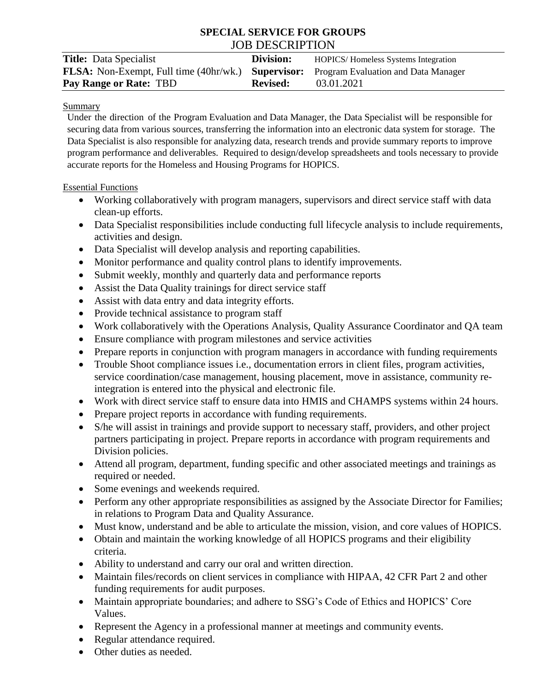# **SPECIAL SERVICE FOR GROUPS** JOB DESCRIPTION

| <b>Title:</b> Data Specialist                                                                        | Division:       | <b>HOPICS/Homeless Systems Integration</b> |
|------------------------------------------------------------------------------------------------------|-----------------|--------------------------------------------|
| <b>FLSA:</b> Non-Exempt, Full time (40hr/wk.) <b>Supervisor:</b> Program Evaluation and Data Manager |                 |                                            |
| Pay Range or Rate: TBD                                                                               | <b>Revised:</b> | 03.01.2021                                 |

#### Summary

Under the direction of the Program Evaluation and Data Manager, the Data Specialist will be responsible for securing data from various sources, transferring the information into an electronic data system for storage. The Data Specialist is also responsible for analyzing data, research trends and provide summary reports to improve program performance and deliverables. Required to design/develop spreadsheets and tools necessary to provide accurate reports for the Homeless and Housing Programs for HOPICS.

### Essential Functions

- Working collaboratively with program managers, supervisors and direct service staff with data clean-up efforts.
- Data Specialist responsibilities include conducting full lifecycle analysis to include requirements, activities and design.
- Data Specialist will develop analysis and reporting capabilities.
- Monitor performance and quality control plans to identify improvements.
- Submit weekly, monthly and quarterly data and performance reports
- Assist the Data Quality trainings for direct service staff
- Assist with data entry and data integrity efforts.
- Provide technical assistance to program staff
- Work collaboratively with the Operations Analysis, Quality Assurance Coordinator and QA team
- Ensure compliance with program milestones and service activities
- Prepare reports in conjunction with program managers in accordance with funding requirements
- Trouble Shoot compliance issues i.e., documentation errors in client files, program activities, service coordination/case management, housing placement, move in assistance, community reintegration is entered into the physical and electronic file.
- Work with direct service staff to ensure data into HMIS and CHAMPS systems within 24 hours.
- Prepare project reports in accordance with funding requirements.
- S/he will assist in trainings and provide support to necessary staff, providers, and other project partners participating in project. Prepare reports in accordance with program requirements and Division policies.
- Attend all program, department, funding specific and other associated meetings and trainings as required or needed.
- Some evenings and weekends required.
- Perform any other appropriate responsibilities as assigned by the Associate Director for Families; in relations to Program Data and Quality Assurance.
- Must know, understand and be able to articulate the mission, vision, and core values of HOPICS.
- Obtain and maintain the working knowledge of all HOPICS programs and their eligibility criteria.
- Ability to understand and carry our oral and written direction.
- Maintain files/records on client services in compliance with HIPAA, 42 CFR Part 2 and other funding requirements for audit purposes.
- Maintain appropriate boundaries; and adhere to SSG's Code of Ethics and HOPICS' Core Values.
- Represent the Agency in a professional manner at meetings and community events.
- Regular attendance required.
- Other duties as needed.